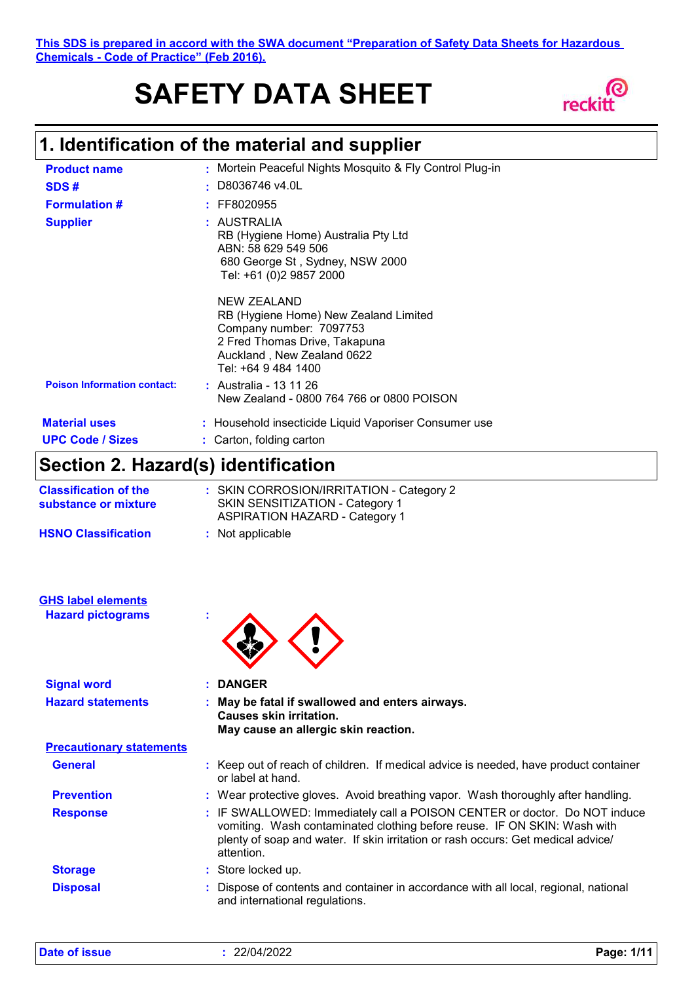**This SDS is prepared in accord with the SWA document "Preparation of Safety Data Sheets for Hazardous Chemicals - Code of Practice" (Feb 2016).**

# **SAFETY DATA SHEET**



# **1. Identification of the material and supplier**

| <b>Product name</b>                             | : Mortein Peaceful Nights Mosquito & Fly Control Plug-in                                                                                                               |
|-------------------------------------------------|------------------------------------------------------------------------------------------------------------------------------------------------------------------------|
| SDS#                                            | : D8036746 v4.0L                                                                                                                                                       |
| <b>Formulation #</b>                            | $:$ FF8020955                                                                                                                                                          |
| <b>Supplier</b>                                 | : AUSTRALIA<br>RB (Hygiene Home) Australia Pty Ltd<br>ABN: 58 629 549 506<br>680 George St, Sydney, NSW 2000<br>Tel: +61 (0)2 9857 2000                                |
|                                                 | NEW ZEALAND<br>RB (Hygiene Home) New Zealand Limited<br>Company number: 7097753<br>2 Fred Thomas Drive, Takapuna<br>Auckland , New Zealand 0622<br>Tel: +64 9 484 1400 |
| <b>Poison Information contact:</b>              | $:$ Australia - 13 11 26<br>New Zealand - 0800 764 766 or 0800 POISON                                                                                                  |
| <b>Material uses</b><br><b>UPC Code / Sizes</b> | : Household insecticide Liquid Vaporiser Consumer use<br>: Carton, folding carton                                                                                      |

### **Section 2. Hazard(s) identification**

| <b>Classification of the</b><br>substance or mixture | : SKIN CORROSION/IRRITATION - Category 2<br>SKIN SENSITIZATION - Category 1<br><b>ASPIRATION HAZARD - Category 1</b> |
|------------------------------------------------------|----------------------------------------------------------------------------------------------------------------------|
| <b>HSNO Classification</b>                           | : Not applicable                                                                                                     |

|  | <b>GHS label elements</b> |  |
|--|---------------------------|--|
|  | Hazard nictograms         |  |

**Hazard pictograms :**



| <b>Signal word</b>              | <b>DANGER</b>                                                                                                                                                                                                                                           |
|---------------------------------|---------------------------------------------------------------------------------------------------------------------------------------------------------------------------------------------------------------------------------------------------------|
| <b>Hazard statements</b>        | May be fatal if swallowed and enters airways.<br>Causes skin irritation.<br>May cause an allergic skin reaction.                                                                                                                                        |
| <b>Precautionary statements</b> |                                                                                                                                                                                                                                                         |
| <b>General</b>                  | : Keep out of reach of children. If medical advice is needed, have product container<br>or label at hand.                                                                                                                                               |
| <b>Prevention</b>               | : Wear protective gloves. Avoid breathing vapor. Wash thoroughly after handling.                                                                                                                                                                        |
| <b>Response</b>                 | : IF SWALLOWED: Immediately call a POISON CENTER or doctor. Do NOT induce<br>vomiting. Wash contaminated clothing before reuse. IF ON SKIN: Wash with<br>plenty of soap and water. If skin irritation or rash occurs: Get medical advice/<br>attention. |
| <b>Storage</b>                  | : Store locked up.                                                                                                                                                                                                                                      |
| <b>Disposal</b>                 | : Dispose of contents and container in accordance with all local, regional, national<br>and international regulations.                                                                                                                                  |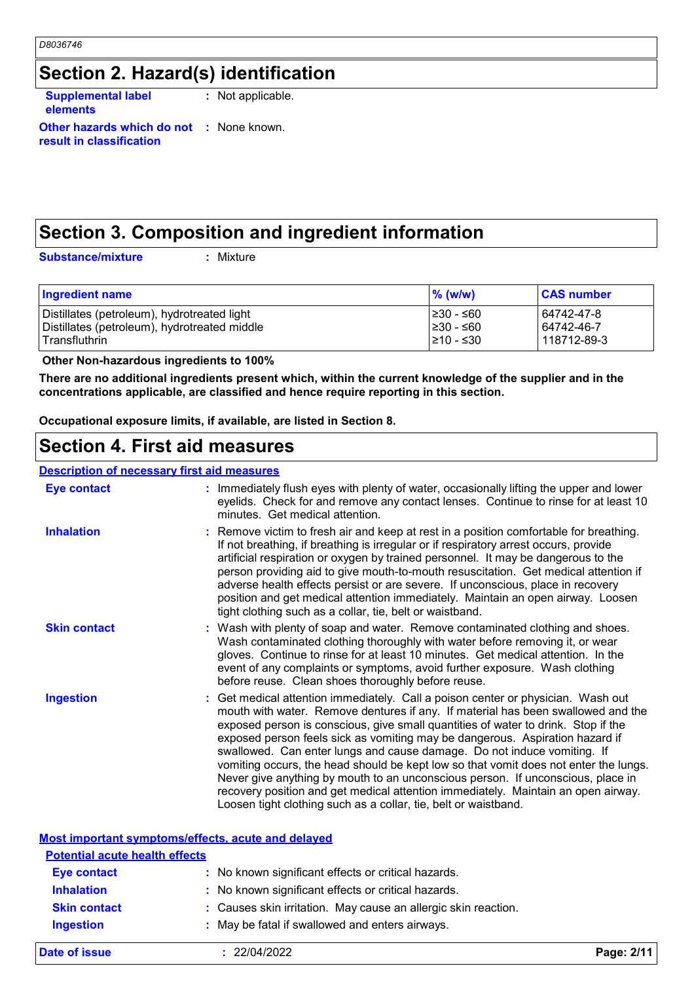### **Section 2. Hazard(s) identification**

**Supplemental label elements**

**:** Not applicable.

**Other hazards which do not :** None known. **result in classification**

### **Section 3. Composition and ingredient information**

**Substance/mixture :** Mixture

| <b>Ingredient name</b>                       | $%$ (w/w)       | <b>CAS number</b> |
|----------------------------------------------|-----------------|-------------------|
| Distillates (petroleum), hydrotreated light  | l≥30 - ≤60      | 64742-47-8        |
| Distillates (petroleum), hydrotreated middle | $\geq 30 - 60$  | 64742-46-7        |
| Transfluthrin                                | $\geq 10 - 530$ | 118712-89-3       |

 **Other Non-hazardous ingredients to 100%**

**There are no additional ingredients present which, within the current knowledge of the supplier and in the concentrations applicable, are classified and hence require reporting in this section.**

**Occupational exposure limits, if available, are listed in Section 8.**

#### **Section 4. First aid measures**

#### **Description of necessary first aid measures**

| <u>реэсприон ог несеээагү тнэг агч тнеаэигеэ</u> |                                                                                                                                                                                                                                                                                                                                                                                                                                                                                                                                                                                                                                                                                                                                                         |
|--------------------------------------------------|---------------------------------------------------------------------------------------------------------------------------------------------------------------------------------------------------------------------------------------------------------------------------------------------------------------------------------------------------------------------------------------------------------------------------------------------------------------------------------------------------------------------------------------------------------------------------------------------------------------------------------------------------------------------------------------------------------------------------------------------------------|
| Eye contact                                      | : Immediately flush eyes with plenty of water, occasionally lifting the upper and lower<br>eyelids. Check for and remove any contact lenses. Continue to rinse for at least 10<br>minutes. Get medical attention.                                                                                                                                                                                                                                                                                                                                                                                                                                                                                                                                       |
| <b>Inhalation</b>                                | : Remove victim to fresh air and keep at rest in a position comfortable for breathing.<br>If not breathing, if breathing is irregular or if respiratory arrest occurs, provide<br>artificial respiration or oxygen by trained personnel. It may be dangerous to the<br>person providing aid to give mouth-to-mouth resuscitation. Get medical attention if<br>adverse health effects persist or are severe. If unconscious, place in recovery<br>position and get medical attention immediately. Maintain an open airway. Loosen<br>tight clothing such as a collar, tie, belt or waistband.                                                                                                                                                            |
| <b>Skin contact</b>                              | : Wash with plenty of soap and water. Remove contaminated clothing and shoes.<br>Wash contaminated clothing thoroughly with water before removing it, or wear<br>gloves. Continue to rinse for at least 10 minutes. Get medical attention. In the<br>event of any complaints or symptoms, avoid further exposure. Wash clothing<br>before reuse. Clean shoes thoroughly before reuse.                                                                                                                                                                                                                                                                                                                                                                   |
| <b>Ingestion</b>                                 | : Get medical attention immediately. Call a poison center or physician. Wash out<br>mouth with water. Remove dentures if any. If material has been swallowed and the<br>exposed person is conscious, give small quantities of water to drink. Stop if the<br>exposed person feels sick as vomiting may be dangerous. Aspiration hazard if<br>swallowed. Can enter lungs and cause damage. Do not induce vomiting. If<br>vomiting occurs, the head should be kept low so that vomit does not enter the lungs.<br>Never give anything by mouth to an unconscious person. If unconscious, place in<br>recovery position and get medical attention immediately. Maintain an open airway.<br>Loosen tight clothing such as a collar, tie, belt or waistband. |

#### **Most important symptoms/effects, acute and delayed**

| <b>Potential acute health effects</b> |                                                                |
|---------------------------------------|----------------------------------------------------------------|
| <b>Eye contact</b>                    | : No known significant effects or critical hazards.            |
| <b>Inhalation</b>                     | : No known significant effects or critical hazards.            |
| <b>Skin contact</b>                   | : Causes skin irritation. May cause an allergic skin reaction. |
| <b>Ingestion</b>                      | : May be fatal if swallowed and enters airways.                |
|                                       |                                                                |

**Date of issue :** 22/04/2022 **Page: 2/11**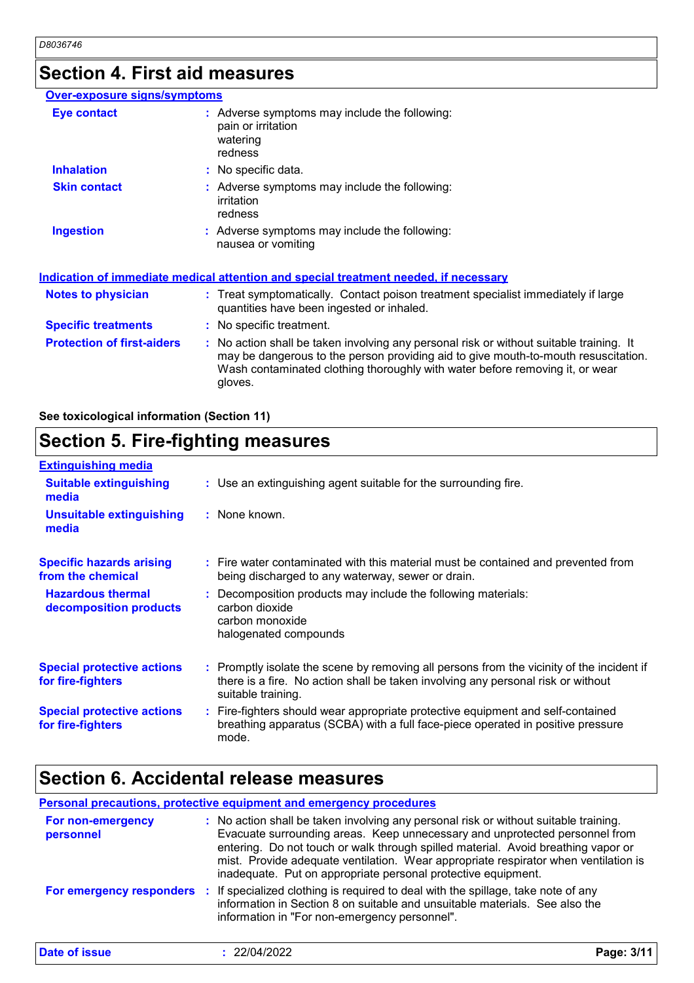### **Section 4. First aid measures**

| <b>Over-exposure signs/symptoms</b> |                                                                                                                                                                                                                                                                          |  |
|-------------------------------------|--------------------------------------------------------------------------------------------------------------------------------------------------------------------------------------------------------------------------------------------------------------------------|--|
| <b>Eye contact</b>                  | : Adverse symptoms may include the following:<br>pain or irritation<br>watering<br>redness                                                                                                                                                                               |  |
| <b>Inhalation</b>                   | : No specific data.                                                                                                                                                                                                                                                      |  |
| <b>Skin contact</b>                 | : Adverse symptoms may include the following:<br><i>irritation</i><br>redness                                                                                                                                                                                            |  |
| <b>Ingestion</b>                    | : Adverse symptoms may include the following:<br>nausea or vomiting                                                                                                                                                                                                      |  |
|                                     | <u>Indication of immediate medical attention and special treatment needed, if necessary</u>                                                                                                                                                                              |  |
| <b>Notes to physician</b>           | : Treat symptomatically. Contact poison treatment specialist immediately if large<br>quantities have been ingested or inhaled.                                                                                                                                           |  |
| <b>Specific treatments</b>          | : No specific treatment.                                                                                                                                                                                                                                                 |  |
| <b>Protection of first-aiders</b>   | : No action shall be taken involving any personal risk or without suitable training. It<br>may be dangerous to the person providing aid to give mouth-to-mouth resuscitation.<br>Wash contaminated clothing thoroughly with water before removing it, or wear<br>gloves. |  |

**See toxicological information (Section 11)**

#### **Section 5. Fire-fighting measures** Promptly isolate the scene by removing all persons from the vicinity of the incident if **:** there is a fire. No action shall be taken involving any personal risk or without suitable training. **Hazardous thermal decomposition products Specific hazards arising from the chemical** Decomposition products may include the following materials: **:** carbon dioxide carbon monoxide halogenated compounds Fire water contaminated with this material must be contained and prevented from **:** being discharged to any waterway, sewer or drain. Fire-fighters should wear appropriate protective equipment and self-contained **:** breathing apparatus (SCBA) with a full face-piece operated in positive pressure mode. **Special protective actions for fire-fighters** Use an extinguishing agent suitable for the surrounding fire. **: Extinguishing media :** None known. **Suitable extinguishing media Unsuitable extinguishing media Special protective actions for fire-fighters**

### **Section 6. Accidental release measures**

**Date of issue** 

**Personal precautions, protective equipment and emergency procedures :** No action shall be taken involving any personal risk or without suitable training. **For non-emergency** 

| <b>FOR HOLL-BILLERGETICY</b><br>personnel | $\therefore$ two action shall be taken involving any personal risk or without suitable training.<br>Evacuate surrounding areas. Keep unnecessary and unprotected personnel from<br>entering. Do not touch or walk through spilled material. Avoid breathing vapor or<br>mist. Provide adequate ventilation. Wear appropriate respirator when ventilation is<br>inadequate. Put on appropriate personal protective equipment. |
|-------------------------------------------|------------------------------------------------------------------------------------------------------------------------------------------------------------------------------------------------------------------------------------------------------------------------------------------------------------------------------------------------------------------------------------------------------------------------------|
| <b>For emergency responders :</b>         | If specialized clothing is required to deal with the spillage, take note of any<br>information in Section 8 on suitable and unsuitable materials. See also the<br>information in "For non-emergency personnel".                                                                                                                                                                                                              |

| 22/04/2022<br>Page: 3/11 |  |
|--------------------------|--|
|--------------------------|--|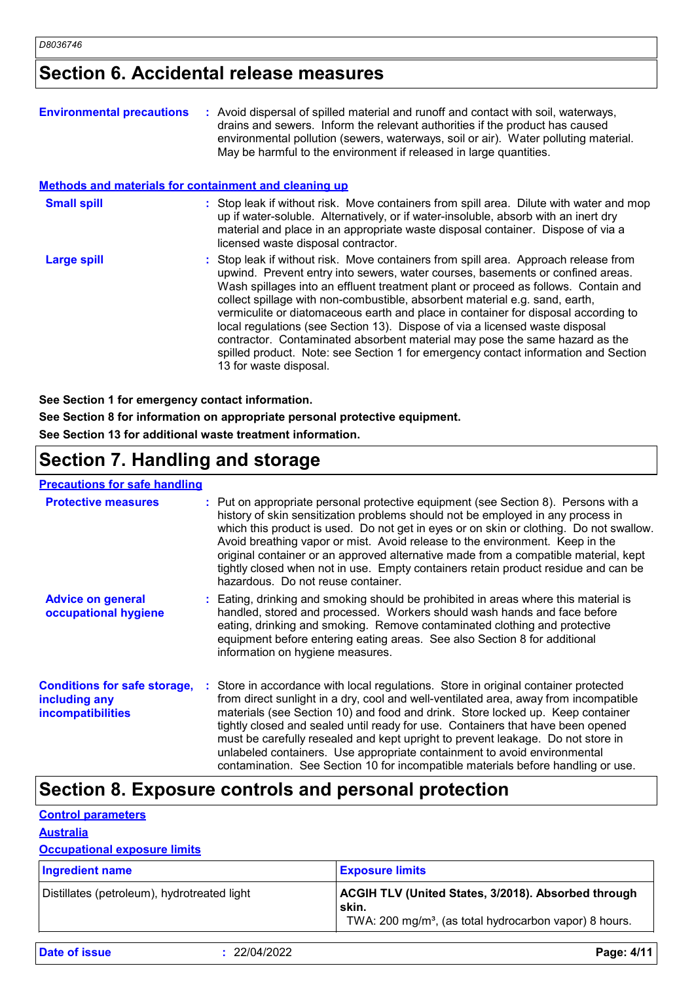### **Section 6. Accidental release measures**

| <b>Environmental precautions</b>                             | : Avoid dispersal of spilled material and runoff and contact with soil, waterways,<br>drains and sewers. Inform the relevant authorities if the product has caused<br>environmental pollution (sewers, waterways, soil or air). Water polluting material.<br>May be harmful to the environment if released in large quantities.                                                                                                                                                                                                                                                                                                                                                       |
|--------------------------------------------------------------|---------------------------------------------------------------------------------------------------------------------------------------------------------------------------------------------------------------------------------------------------------------------------------------------------------------------------------------------------------------------------------------------------------------------------------------------------------------------------------------------------------------------------------------------------------------------------------------------------------------------------------------------------------------------------------------|
| <b>Methods and materials for containment and cleaning up</b> |                                                                                                                                                                                                                                                                                                                                                                                                                                                                                                                                                                                                                                                                                       |
| <b>Small spill</b>                                           | : Stop leak if without risk. Move containers from spill area. Dilute with water and mop<br>up if water-soluble. Alternatively, or if water-insoluble, absorb with an inert dry<br>material and place in an appropriate waste disposal container. Dispose of via a<br>licensed waste disposal contractor.                                                                                                                                                                                                                                                                                                                                                                              |
| <b>Large spill</b>                                           | : Stop leak if without risk. Move containers from spill area. Approach release from<br>upwind. Prevent entry into sewers, water courses, basements or confined areas.<br>Wash spillages into an effluent treatment plant or proceed as follows. Contain and<br>collect spillage with non-combustible, absorbent material e.g. sand, earth,<br>vermiculite or diatomaceous earth and place in container for disposal according to<br>local regulations (see Section 13). Dispose of via a licensed waste disposal<br>contractor. Contaminated absorbent material may pose the same hazard as the<br>spilled product. Note: see Section 1 for emergency contact information and Section |

**See Section 1 for emergency contact information.**

**See Section 8 for information on appropriate personal protective equipment.**

13 for waste disposal.

**See Section 13 for additional waste treatment information.**

### **Section 7. Handling and storage**

#### **Precautions for safe handling**

| <b>Protective measures</b>                                                       | : Put on appropriate personal protective equipment (see Section 8). Persons with a<br>history of skin sensitization problems should not be employed in any process in<br>which this product is used. Do not get in eyes or on skin or clothing. Do not swallow.<br>Avoid breathing vapor or mist. Avoid release to the environment. Keep in the<br>original container or an approved alternative made from a compatible material, kept<br>tightly closed when not in use. Empty containers retain product residue and can be<br>hazardous. Do not reuse container.                                |
|----------------------------------------------------------------------------------|---------------------------------------------------------------------------------------------------------------------------------------------------------------------------------------------------------------------------------------------------------------------------------------------------------------------------------------------------------------------------------------------------------------------------------------------------------------------------------------------------------------------------------------------------------------------------------------------------|
| <b>Advice on general</b><br>occupational hygiene                                 | : Eating, drinking and smoking should be prohibited in areas where this material is<br>handled, stored and processed. Workers should wash hands and face before<br>eating, drinking and smoking. Remove contaminated clothing and protective<br>equipment before entering eating areas. See also Section 8 for additional<br>information on hygiene measures.                                                                                                                                                                                                                                     |
| <b>Conditions for safe storage,</b><br>including any<br><i>incompatibilities</i> | Store in accordance with local regulations. Store in original container protected<br>from direct sunlight in a dry, cool and well-ventilated area, away from incompatible<br>materials (see Section 10) and food and drink. Store locked up. Keep container<br>tightly closed and sealed until ready for use. Containers that have been opened<br>must be carefully resealed and kept upright to prevent leakage. Do not store in<br>unlabeled containers. Use appropriate containment to avoid environmental<br>contamination. See Section 10 for incompatible materials before handling or use. |

### **Section 8. Exposure controls and personal protection**

#### **Control parameters**

#### **Australia**

#### **Occupational exposure limits**

| Ingredient name                             | <b>Exposure limits</b>                                                                                                                    |
|---------------------------------------------|-------------------------------------------------------------------------------------------------------------------------------------------|
| Distillates (petroleum), hydrotreated light | <b>ACGIH TLV (United States, 3/2018). Absorbed through</b><br>skin.<br>TWA: 200 mg/m <sup>3</sup> , (as total hydrocarbon vapor) 8 hours. |

**Date of issue :** 22/04/2022 **Page: 4/11**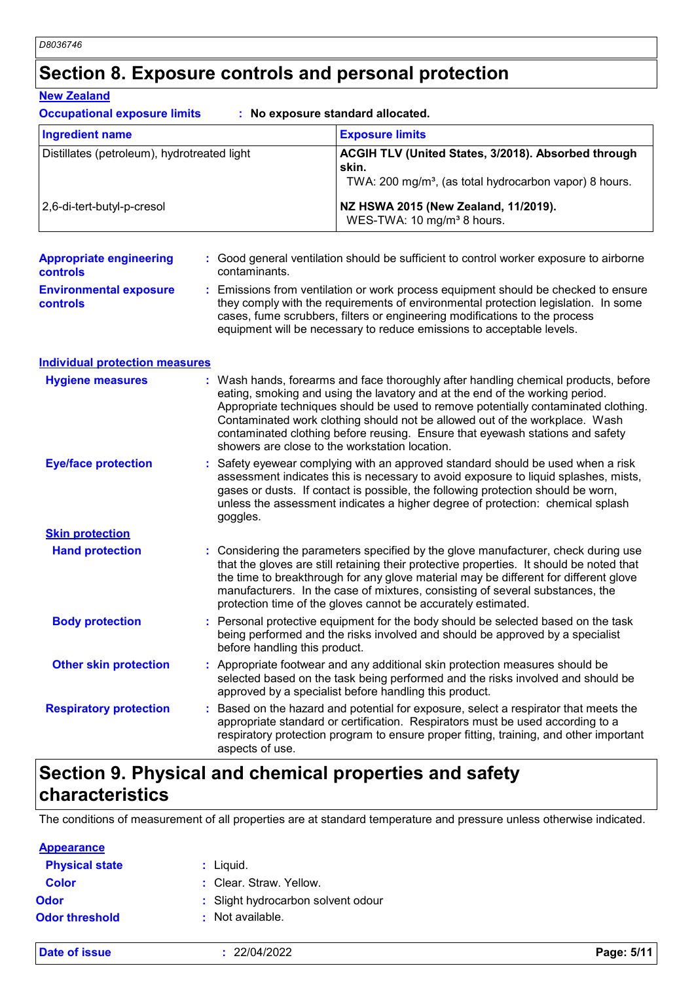### **Section 8. Exposure controls and personal protection**

#### **New Zealand**

**Occupational exposure limits : No exposure standard allocated.**

| <b>Ingredient name</b>                      | <b>Exposure limits</b>                                                                                                             |
|---------------------------------------------|------------------------------------------------------------------------------------------------------------------------------------|
| Distillates (petroleum), hydrotreated light | ACGIH TLV (United States, 3/2018). Absorbed through<br>skin.<br>TWA: 200 mg/m <sup>3</sup> , (as total hydrocarbon vapor) 8 hours. |
| 2,6-di-tert-butyl-p-cresol                  | NZ HSWA 2015 (New Zealand, 11/2019).<br>WES-TWA: 10 mg/m <sup>3</sup> 8 hours.                                                     |

| <b>Appropriate engineering</b><br><b>controls</b> | : Good general ventilation should be sufficient to control worker exposure to airborne<br>contaminants.                                                                                                                                                                                                                         |
|---------------------------------------------------|---------------------------------------------------------------------------------------------------------------------------------------------------------------------------------------------------------------------------------------------------------------------------------------------------------------------------------|
| <b>Environmental exposure</b><br><b>controls</b>  | : Emissions from ventilation or work process equipment should be checked to ensure<br>they comply with the requirements of environmental protection legislation. In some<br>cases, fume scrubbers, filters or engineering modifications to the process<br>equipment will be necessary to reduce emissions to acceptable levels. |

| <b>Individual protection measures</b> |                                                                                                                                                                                                                                                                                                                                                                                                                                                                             |
|---------------------------------------|-----------------------------------------------------------------------------------------------------------------------------------------------------------------------------------------------------------------------------------------------------------------------------------------------------------------------------------------------------------------------------------------------------------------------------------------------------------------------------|
| <b>Hygiene measures</b>               | : Wash hands, forearms and face thoroughly after handling chemical products, before<br>eating, smoking and using the lavatory and at the end of the working period.<br>Appropriate techniques should be used to remove potentially contaminated clothing.<br>Contaminated work clothing should not be allowed out of the workplace. Wash<br>contaminated clothing before reusing. Ensure that eyewash stations and safety<br>showers are close to the workstation location. |
| <b>Eye/face protection</b>            | : Safety eyewear complying with an approved standard should be used when a risk<br>assessment indicates this is necessary to avoid exposure to liquid splashes, mists,<br>gases or dusts. If contact is possible, the following protection should be worn,<br>unless the assessment indicates a higher degree of protection: chemical splash<br>goggles.                                                                                                                    |
| <b>Skin protection</b>                |                                                                                                                                                                                                                                                                                                                                                                                                                                                                             |
| <b>Hand protection</b>                | : Considering the parameters specified by the glove manufacturer, check during use<br>that the gloves are still retaining their protective properties. It should be noted that<br>the time to breakthrough for any glove material may be different for different glove<br>manufacturers. In the case of mixtures, consisting of several substances, the<br>protection time of the gloves cannot be accurately estimated.                                                    |
| <b>Body protection</b>                | : Personal protective equipment for the body should be selected based on the task<br>being performed and the risks involved and should be approved by a specialist<br>before handling this product.                                                                                                                                                                                                                                                                         |
| <b>Other skin protection</b>          | : Appropriate footwear and any additional skin protection measures should be                                                                                                                                                                                                                                                                                                                                                                                                |

Based on the hazard and potential for exposure, select a respirator that meets the appropriate standard or certification. Respirators must be used according to a **Respiratory protection :** selected based on the task being performed and the risks involved and should be approved by a specialist before handling this product.

respiratory protection program to ensure proper fitting, training, and other important aspects of use.

### **Section 9. Physical and chemical properties and safety characteristics**

The conditions of measurement of all properties are at standard temperature and pressure unless otherwise indicated.

| <b>Appearance</b>     |                                    |
|-----------------------|------------------------------------|
| <b>Physical state</b> | : Liquid.                          |
| <b>Color</b>          | : Clear. Straw. Yellow.            |
| Odor                  | : Slight hydrocarbon solvent odour |
| <b>Odor threshold</b> | $:$ Not available.                 |
|                       |                                    |

**Date of issue :** 22/04/2022 **Page: 5/11**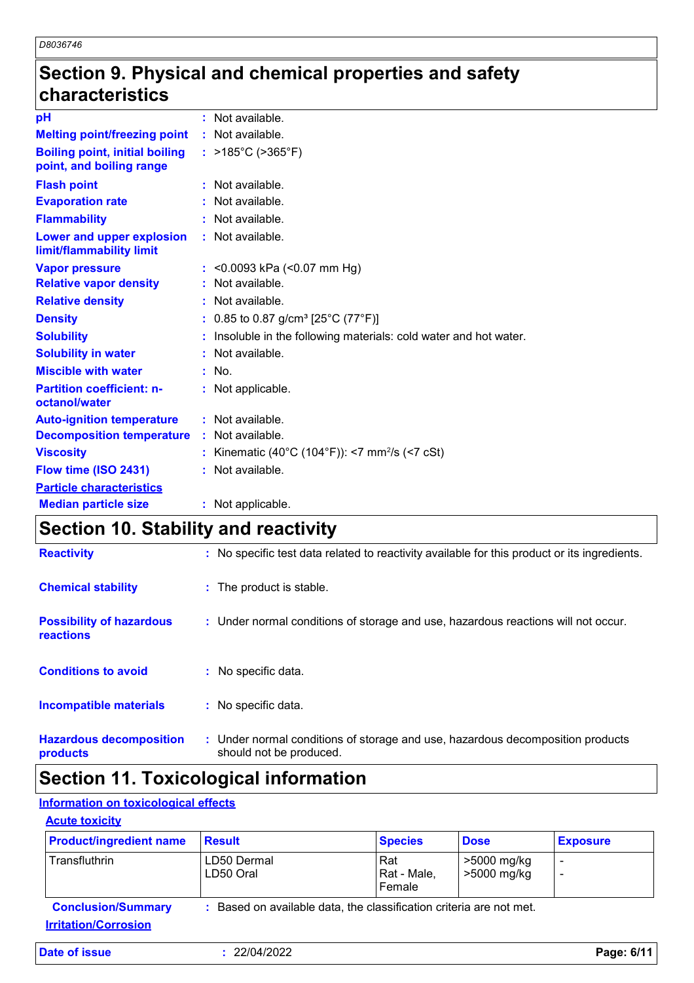### **Section 9. Physical and chemical properties and safety characteristics**

| <b>Median particle size</b><br>$\overline{1}$ $\overline{2}$ $\overline{3}$ $\overline{4}$ $\overline{1}$ $\overline{1}$ $\overline{1}$ $\overline{1}$ $\overline{1}$ $\overline{1}$ $\overline{1}$ $\overline{1}$ $\overline{1}$ $\overline{1}$ $\overline{1}$ $\overline{1}$ $\overline{1}$ $\overline{1}$ $\overline{1}$ $\overline{1}$ $\overline{1}$ $\overline{1}$ $\overline{1}$ $\overline{1}$ $\overline{$ | : Not applicable.<br>.                                            |
|---------------------------------------------------------------------------------------------------------------------------------------------------------------------------------------------------------------------------------------------------------------------------------------------------------------------------------------------------------------------------------------------------------------------|-------------------------------------------------------------------|
| <b>Particle characteristics</b>                                                                                                                                                                                                                                                                                                                                                                                     |                                                                   |
| Flow time (ISO 2431)                                                                                                                                                                                                                                                                                                                                                                                                | : Not available.                                                  |
| <b>Viscosity</b>                                                                                                                                                                                                                                                                                                                                                                                                    | : Kinematic (40°C (104°F)): <7 mm <sup>2</sup> /s (<7 cSt)        |
| <b>Decomposition temperature</b>                                                                                                                                                                                                                                                                                                                                                                                    | : Not available.                                                  |
| <b>Auto-ignition temperature</b>                                                                                                                                                                                                                                                                                                                                                                                    | : Not available.                                                  |
| <b>Partition coefficient: n-</b><br>octanol/water                                                                                                                                                                                                                                                                                                                                                                   | : Not applicable.                                                 |
| <b>Miscible with water</b>                                                                                                                                                                                                                                                                                                                                                                                          | $:$ No.                                                           |
| <b>Solubility in water</b>                                                                                                                                                                                                                                                                                                                                                                                          | : Not available.                                                  |
| <b>Solubility</b>                                                                                                                                                                                                                                                                                                                                                                                                   | : Insoluble in the following materials: cold water and hot water. |
| <b>Density</b>                                                                                                                                                                                                                                                                                                                                                                                                      | : 0.85 to 0.87 g/cm <sup>3</sup> [25°C (77°F)]                    |
| <b>Relative density</b>                                                                                                                                                                                                                                                                                                                                                                                             | : Not available.                                                  |
| <b>Relative vapor density</b>                                                                                                                                                                                                                                                                                                                                                                                       | : Not available.                                                  |
| <b>Vapor pressure</b>                                                                                                                                                                                                                                                                                                                                                                                               | : $< 0.0093$ kPa $(< 0.07$ mm Hg)                                 |
| Lower and upper explosion<br>limit/flammability limit                                                                                                                                                                                                                                                                                                                                                               | : Not available.                                                  |
| <b>Flammability</b>                                                                                                                                                                                                                                                                                                                                                                                                 | : Not available.                                                  |
| <b>Evaporation rate</b>                                                                                                                                                                                                                                                                                                                                                                                             | : Not available.                                                  |
| <b>Flash point</b>                                                                                                                                                                                                                                                                                                                                                                                                  | : Not available.                                                  |
| <b>Boiling point, initial boiling</b><br>point, and boiling range                                                                                                                                                                                                                                                                                                                                                   | : $>185^{\circ}$ C ( $>365^{\circ}$ F)                            |
| <b>Melting point/freezing point</b>                                                                                                                                                                                                                                                                                                                                                                                 | : Not available.                                                  |
| pH                                                                                                                                                                                                                                                                                                                                                                                                                  | : Not available.                                                  |

### **Section 10. Stability and reactivity**

| <b>Reactivity</b>                            | : No specific test data related to reactivity available for this product or its ingredients.              |
|----------------------------------------------|-----------------------------------------------------------------------------------------------------------|
| <b>Chemical stability</b>                    | : The product is stable.                                                                                  |
| <b>Possibility of hazardous</b><br>reactions | : Under normal conditions of storage and use, hazardous reactions will not occur.                         |
| <b>Conditions to avoid</b>                   | : No specific data.                                                                                       |
| <b>Incompatible materials</b>                | : No specific data.                                                                                       |
| <b>Hazardous decomposition</b><br>products   | : Under normal conditions of storage and use, hazardous decomposition products<br>should not be produced. |

# **Section 11. Toxicological information**

#### **Information on toxicological effects**

| <b>Acute toxicity</b> |
|-----------------------|
|-----------------------|

**Date of issue** 

| <b>Product/ingredient name</b>                           | <b>Result</b>                                                       | <b>Species</b>               | <b>Dose</b>                | <b>Exposure</b> |
|----------------------------------------------------------|---------------------------------------------------------------------|------------------------------|----------------------------|-----------------|
| Transfluthrin                                            | LD50 Dermal<br>LD50 Oral                                            | Rat<br>Rat - Male,<br>Female | >5000 mg/kg<br>>5000 mg/kg | -               |
| <b>Conclusion/Summary</b><br><b>Irritation/Corrosion</b> | : Based on available data, the classification criteria are not met. |                              |                            |                 |

| : 22/04/2022 | Page: 6/11 |
|--------------|------------|
|--------------|------------|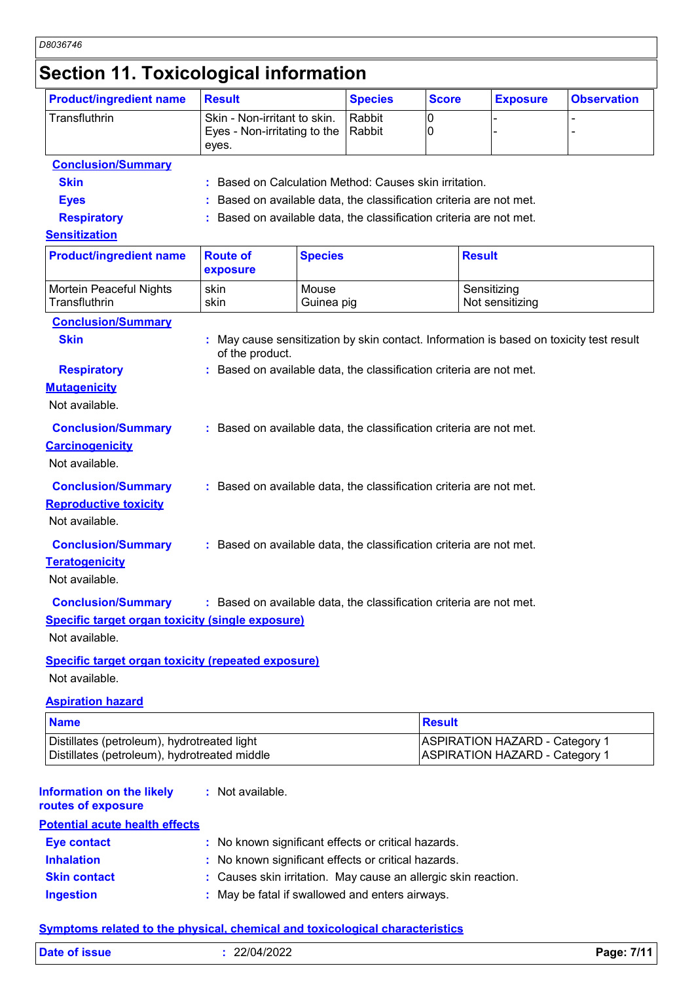# **Section 11. Toxicological information**

| <b>Product/ingredient name</b>                                                                                                             | <b>Result</b>                                                         |                     | <b>Species</b> | <b>Score</b>  | <b>Exposure</b>                                                                         | <b>Observation</b> |
|--------------------------------------------------------------------------------------------------------------------------------------------|-----------------------------------------------------------------------|---------------------|----------------|---------------|-----------------------------------------------------------------------------------------|--------------------|
| Transfluthrin                                                                                                                              | Skin - Non-irritant to skin.<br>Eyes - Non-irritating to the<br>eyes. | Rabbit<br>Rabbit    | 0<br>0         |               |                                                                                         |                    |
| <b>Conclusion/Summary</b>                                                                                                                  |                                                                       |                     |                |               |                                                                                         |                    |
| <b>Skin</b>                                                                                                                                | : Based on Calculation Method: Causes skin irritation.                |                     |                |               |                                                                                         |                    |
| <b>Eyes</b>                                                                                                                                |                                                                       |                     |                |               | Based on available data, the classification criteria are not met.                       |                    |
| <b>Respiratory</b>                                                                                                                         |                                                                       |                     |                |               | Based on available data, the classification criteria are not met.                       |                    |
| <b>Sensitization</b>                                                                                                                       |                                                                       |                     |                |               |                                                                                         |                    |
| <b>Product/ingredient name</b>                                                                                                             | <b>Route of</b><br>exposure                                           | <b>Species</b>      |                |               | <b>Result</b>                                                                           |                    |
| Mortein Peaceful Nights<br>Transfluthrin                                                                                                   | skin<br>skin                                                          | Mouse<br>Guinea pig |                |               | Sensitizing<br>Not sensitizing                                                          |                    |
| <b>Conclusion/Summary</b>                                                                                                                  |                                                                       |                     |                |               |                                                                                         |                    |
| <b>Skin</b>                                                                                                                                | of the product.                                                       |                     |                |               | : May cause sensitization by skin contact. Information is based on toxicity test result |                    |
| <b>Respiratory</b>                                                                                                                         | : Based on available data, the classification criteria are not met.   |                     |                |               |                                                                                         |                    |
| <b>Mutagenicity</b><br>Not available.                                                                                                      |                                                                       |                     |                |               |                                                                                         |                    |
| <b>Conclusion/Summary</b><br><b>Carcinogenicity</b><br>Not available.                                                                      | : Based on available data, the classification criteria are not met.   |                     |                |               |                                                                                         |                    |
|                                                                                                                                            |                                                                       |                     |                |               |                                                                                         |                    |
| <b>Conclusion/Summary</b>                                                                                                                  | : Based on available data, the classification criteria are not met.   |                     |                |               |                                                                                         |                    |
| <b>Reproductive toxicity</b><br>Not available.                                                                                             |                                                                       |                     |                |               |                                                                                         |                    |
|                                                                                                                                            |                                                                       |                     |                |               |                                                                                         |                    |
| <b>Conclusion/Summary</b>                                                                                                                  | : Based on available data, the classification criteria are not met.   |                     |                |               |                                                                                         |                    |
| <b>Teratogenicity</b>                                                                                                                      |                                                                       |                     |                |               |                                                                                         |                    |
| Not available.                                                                                                                             |                                                                       |                     |                |               |                                                                                         |                    |
| Conclusion/Summary : Based on available data, the classification criteria are not met.                                                     |                                                                       |                     |                |               |                                                                                         |                    |
| <b>Specific target organ toxicity (single exposure)</b>                                                                                    |                                                                       |                     |                |               |                                                                                         |                    |
| Not available.                                                                                                                             |                                                                       |                     |                |               |                                                                                         |                    |
| <b>Specific target organ toxicity (repeated exposure)</b><br>Not available.                                                                |                                                                       |                     |                |               |                                                                                         |                    |
| <b>Aspiration hazard</b>                                                                                                                   |                                                                       |                     |                |               |                                                                                         |                    |
| <b>Name</b>                                                                                                                                |                                                                       |                     |                | <b>Result</b> |                                                                                         |                    |
| Distillates (petroleum), hydrotreated light<br>Distillates (petroleum), hydrotreated middle                                                |                                                                       |                     |                |               | <b>ASPIRATION HAZARD - Category 1</b><br><b>ASPIRATION HAZARD - Category 1</b>          |                    |
|                                                                                                                                            | : Not available.                                                      |                     |                |               |                                                                                         |                    |
|                                                                                                                                            |                                                                       |                     |                |               |                                                                                         |                    |
|                                                                                                                                            |                                                                       |                     |                |               |                                                                                         |                    |
|                                                                                                                                            | : No known significant effects or critical hazards.                   |                     |                |               |                                                                                         |                    |
| <b>Information on the likely</b><br>routes of exposure<br><b>Potential acute health effects</b><br><b>Eye contact</b><br><b>Inhalation</b> | : No known significant effects or critical hazards.                   |                     |                |               |                                                                                         |                    |
| <b>Skin contact</b>                                                                                                                        | : Causes skin irritation. May cause an allergic skin reaction.        |                     |                |               |                                                                                         |                    |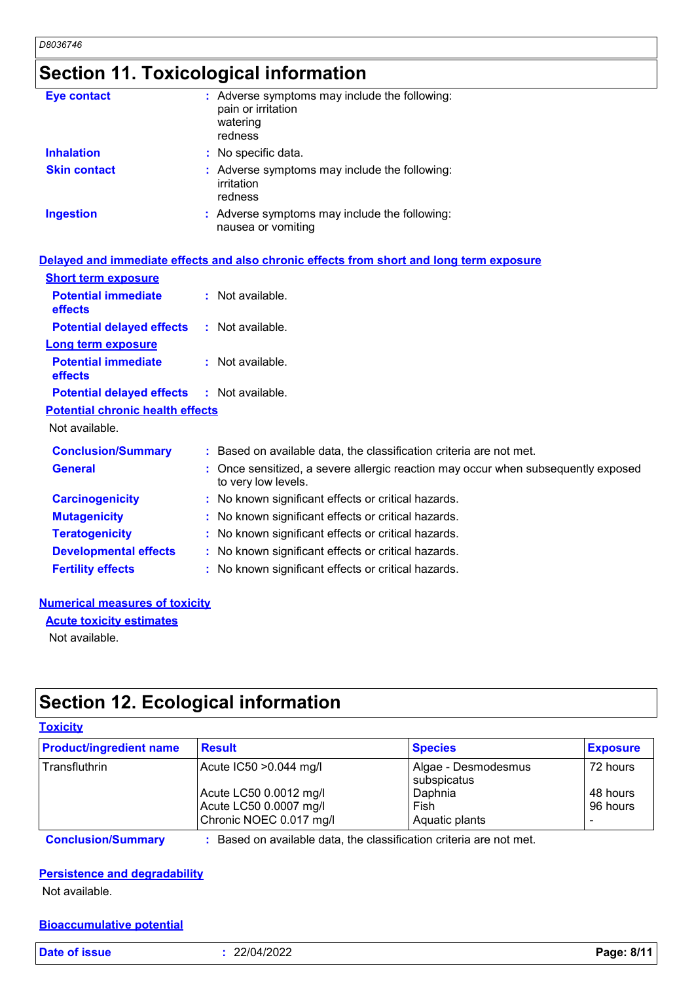# **Section 11. Toxicological information**

| <b>Eye contact</b>  | : Adverse symptoms may include the following:<br>pain or irritation<br>watering<br>redness |
|---------------------|--------------------------------------------------------------------------------------------|
| <b>Inhalation</b>   | : No specific data.                                                                        |
| <b>Skin contact</b> | : Adverse symptoms may include the following:<br>irritation<br>redness                     |
| <b>Ingestion</b>    | : Adverse symptoms may include the following:<br>nausea or vomiting                        |

|                                                   | Delayed and immediate effects and also chronic effects from short and long term exposure                 |  |
|---------------------------------------------------|----------------------------------------------------------------------------------------------------------|--|
| <b>Short term exposure</b>                        |                                                                                                          |  |
| <b>Potential immediate</b><br><b>effects</b>      | $:$ Not available.                                                                                       |  |
| <b>Potential delayed effects</b>                  | $:$ Not available.                                                                                       |  |
| <b>Long term exposure</b>                         |                                                                                                          |  |
| <b>Potential immediate</b><br><b>effects</b>      | $:$ Not available.                                                                                       |  |
| <b>Potential delayed effects : Not available.</b> |                                                                                                          |  |
| <b>Potential chronic health effects</b>           |                                                                                                          |  |
| Not available.                                    |                                                                                                          |  |
| <b>Conclusion/Summary</b>                         | : Based on available data, the classification criteria are not met.                                      |  |
| <b>General</b>                                    | : Once sensitized, a severe allergic reaction may occur when subsequently exposed<br>to very low levels. |  |
| <b>Carcinogenicity</b>                            | : No known significant effects or critical hazards.                                                      |  |
| <b>Mutagenicity</b>                               | : No known significant effects or critical hazards.                                                      |  |
| <b>Teratogenicity</b>                             | : No known significant effects or critical hazards.                                                      |  |
| <b>Developmental effects</b>                      | : No known significant effects or critical hazards.                                                      |  |
| <b>Fertility effects</b>                          | : No known significant effects or critical hazards.                                                      |  |

#### **Numerical measures of toxicity**

**Acute toxicity estimates**

Not available.

## **Section 12. Ecological information**

#### **Toxicity**

| <b>Product/ingredient name</b> | <b>Result</b>                                                               | <b>Species</b>                     | <b>Exposure</b>      |
|--------------------------------|-----------------------------------------------------------------------------|------------------------------------|----------------------|
| ∣Transfluthrin                 | Acute IC50 > 0.044 mg/l                                                     | Algae - Desmodesmus<br>subspicatus | 72 hours             |
|                                | Acute LC50 0.0012 mg/l<br>Acute LC50 0.0007 mg/l<br>Chronic NOEC 0.017 mg/l | Daphnia<br>Fish<br>Aquatic plants  | 48 hours<br>96 hours |
|                                |                                                                             |                                    |                      |

**Conclusion/Summary :** Based on available data, the classification criteria are not met.

#### **Persistence and degradability**

Not available.

#### **Bioaccumulative potential**

**Date of issue :** 22/04/2022 **Page: 8/11**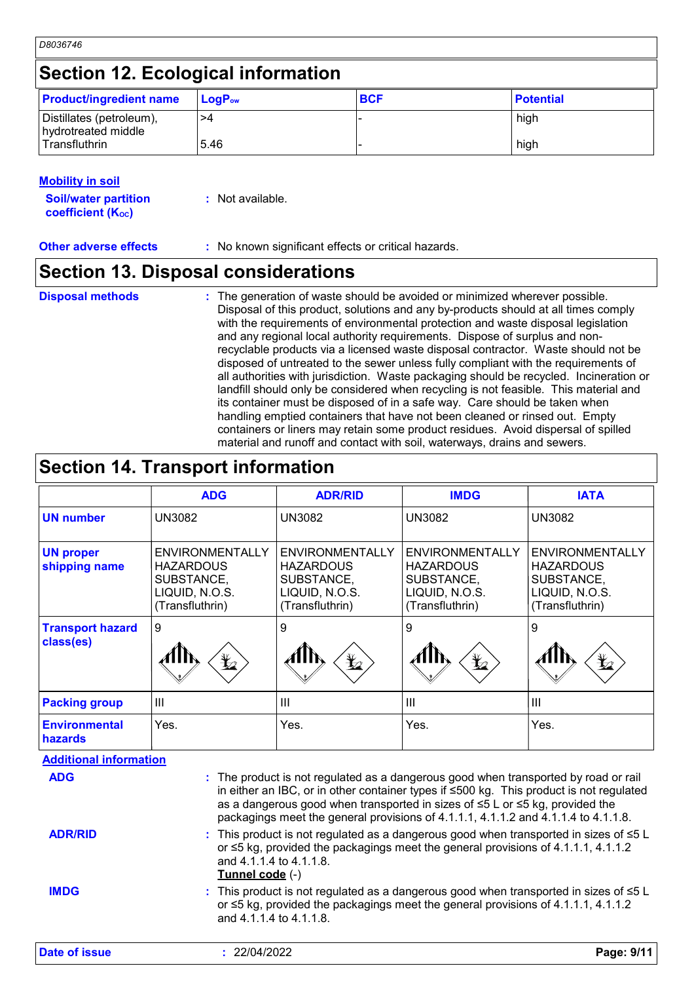| D8036746                                        |             |            |                  |  |
|-------------------------------------------------|-------------|------------|------------------|--|
| <b>Section 12. Ecological information</b>       |             |            |                  |  |
| <b>Product/ingredient name</b>                  | $LogP_{ow}$ | <b>BCF</b> | <b>Potential</b> |  |
| Distillates (petroleum),<br>hydrotreated middle | >4          |            | high             |  |
| l Transfluthrin                                 | 5.46        |            | high             |  |

#### **Mobility in soil**

| <b>Soil/water partition</b> | : Not available. |
|-----------------------------|------------------|
| <b>coefficient (Koc)</b>    |                  |

**Other adverse effects** : No known significant effects or critical hazards.

#### **Section 13. Disposal considerations**

**Disposal methods :**

The generation of waste should be avoided or minimized wherever possible. Disposal of this product, solutions and any by-products should at all times comply with the requirements of environmental protection and waste disposal legislation and any regional local authority requirements. Dispose of surplus and nonrecyclable products via a licensed waste disposal contractor. Waste should not be disposed of untreated to the sewer unless fully compliant with the requirements of all authorities with jurisdiction. Waste packaging should be recycled. Incineration or landfill should only be considered when recycling is not feasible. This material and its container must be disposed of in a safe way. Care should be taken when handling emptied containers that have not been cleaned or rinsed out. Empty containers or liners may retain some product residues. Avoid dispersal of spilled material and runoff and contact with soil, waterways, drains and sewers.

### **Section 14. Transport information**

|                                      | <b>ADG</b>                                                                                    | <b>ADR/RID</b>                                                                         | <b>IMDG</b>                                                                            | <b>IATA</b>                                                                                   |
|--------------------------------------|-----------------------------------------------------------------------------------------------|----------------------------------------------------------------------------------------|----------------------------------------------------------------------------------------|-----------------------------------------------------------------------------------------------|
| <b>UN number</b>                     | <b>UN3082</b>                                                                                 | <b>UN3082</b>                                                                          | <b>UN3082</b>                                                                          | <b>UN3082</b>                                                                                 |
| <b>UN proper</b><br>shipping name    | <b>ENVIRONMENTALLY</b><br><b>HAZARDOUS</b><br>SUBSTANCE,<br>LIQUID, N.O.S.<br>(Transfluthrin) | ENVIRONMENTALLY<br><b>HAZARDOUS</b><br>SUBSTANCE,<br>LIQUID, N.O.S.<br>(Transfluthrin) | ENVIRONMENTALLY<br><b>HAZARDOUS</b><br>SUBSTANCE,<br>LIQUID, N.O.S.<br>(Transfluthrin) | <b>ENVIRONMENTALLY</b><br><b>HAZARDOUS</b><br>SUBSTANCE,<br>LIQUID, N.O.S.<br>(Transfluthrin) |
| <b>Transport hazard</b><br>class(es) | 9<br>$\mathbf{Y}_2$                                                                           | 9<br>$\bigstar$                                                                        | 9<br>$\bigstar$                                                                        | 9<br>$\bigstar$                                                                               |
| <b>Packing group</b>                 | $\mathbf{III}$                                                                                | III                                                                                    | $\mathbf{III}$                                                                         | $\mathbf{III}$                                                                                |
| <b>Environmental</b><br>hazards      | Yes.                                                                                          | Yes.                                                                                   | Yes.                                                                                   | Yes.                                                                                          |
| <b>Additional information</b>        |                                                                                               |                                                                                        |                                                                                        |                                                                                               |

| Auunonar monnanon<br><b>ADG</b> | : The product is not regulated as a dangerous good when transported by road or rail<br>in either an IBC, or in other container types if ≤500 kg. This product is not regulated<br>as a dangerous good when transported in sizes of ≤5 L or ≤5 kg, provided the<br>packagings meet the general provisions of 4.1.1.1, 4.1.1.2 and 4.1.1.4 to 4.1.1.8. |
|---------------------------------|------------------------------------------------------------------------------------------------------------------------------------------------------------------------------------------------------------------------------------------------------------------------------------------------------------------------------------------------------|
| <b>ADR/RID</b>                  | : This product is not regulated as a dangerous good when transported in sizes of $\leq 5$ L<br>or ≤5 kg, provided the packagings meet the general provisions of 4.1.1.1, 4.1.1.2<br>and 4.1.1.4 to 4.1.1.8.<br>Tunnel code (-)                                                                                                                       |
| <b>IMDG</b>                     | : This product is not regulated as a dangerous good when transported in sizes of $\leq 5$ L<br>or $\leq$ 5 kg, provided the packagings meet the general provisions of 4.1.1.1, 4.1.1.2<br>and 4.1.1.4 to 4.1.1.8.                                                                                                                                    |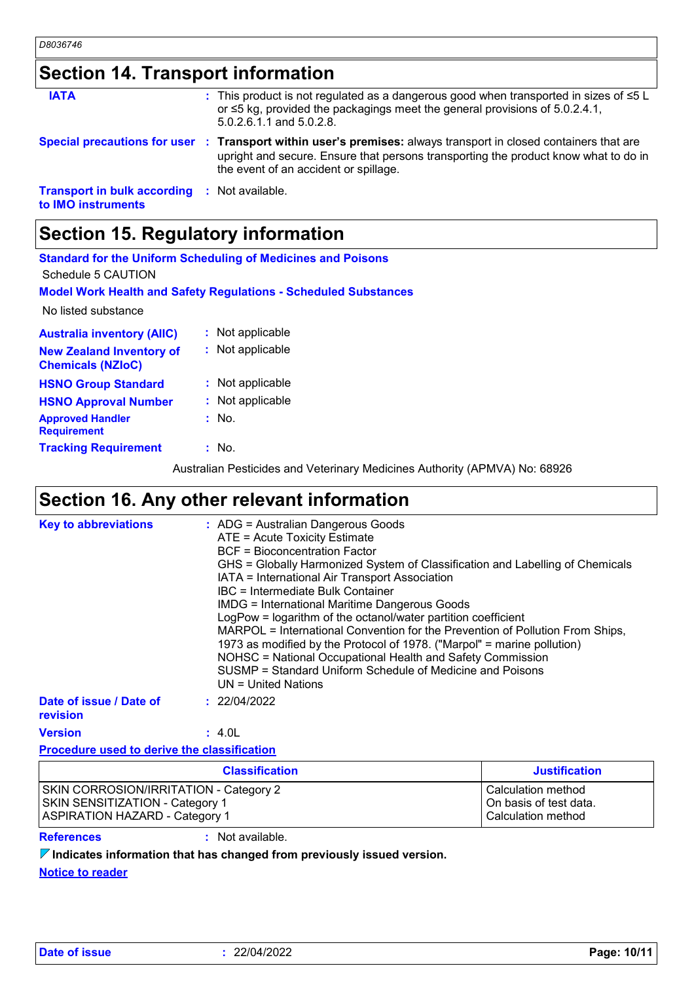|  |  |  | <b>Section 14. Transport information</b> |  |
|--|--|--|------------------------------------------|--|
|--|--|--|------------------------------------------|--|

| <b>IATA</b>                                                               | : This product is not regulated as a dangerous good when transported in sizes of $\leq 5$ L<br>or $\leq$ 5 kg, provided the packagings meet the general provisions of 5.0.2.4.1,<br>5.0.2.6.1.1 and 5.0.2.8.                                    |
|---------------------------------------------------------------------------|-------------------------------------------------------------------------------------------------------------------------------------------------------------------------------------------------------------------------------------------------|
|                                                                           | Special precautions for user : Transport within user's premises: always transport in closed containers that are<br>upright and secure. Ensure that persons transporting the product know what to do in<br>the event of an accident or spillage. |
| <b>Transport in bulk according : Not available.</b><br>to IMO instruments |                                                                                                                                                                                                                                                 |

# **Section 15. Regulatory information**

| Schedule 5 CAUTION                                          | <b>Standard for the Uniform Scheduling of Medicines and Poisons</b>        |
|-------------------------------------------------------------|----------------------------------------------------------------------------|
|                                                             | <b>Model Work Health and Safety Regulations - Scheduled Substances</b>     |
| No listed substance                                         |                                                                            |
| <b>Australia inventory (AIIC)</b>                           | : Not applicable                                                           |
| <b>New Zealand Inventory of</b><br><b>Chemicals (NZIoC)</b> | : Not applicable                                                           |
| <b>HSNO Group Standard</b>                                  | : Not applicable                                                           |
| <b>HSNO Approval Number</b>                                 | : Not applicable                                                           |
| <b>Approved Handler</b><br><b>Requirement</b>               | $:$ No.                                                                    |
| <b>Tracking Requirement</b>                                 | $:$ No.                                                                    |
|                                                             | Australian Pesticides and Veterinary Medicines Authority (APMVA) No: 68926 |

Australian Pesticides and Veterinary Medicines Authority (APMVA) No: 68926

# **Section 16. Any other relevant information**

| <b>Key to abbreviations</b>                        | : ADG = Australian Dangerous Goods<br>ATE = Acute Toxicity Estimate<br><b>BCF</b> = Bioconcentration Factor<br>GHS = Globally Harmonized System of Classification and Labelling of Chemicals<br>IATA = International Air Transport Association<br>IBC = Intermediate Bulk Container<br><b>IMDG = International Maritime Dangerous Goods</b><br>LogPow = logarithm of the octanol/water partition coefficient<br>MARPOL = International Convention for the Prevention of Pollution From Ships,<br>1973 as modified by the Protocol of 1978. ("Marpol" = marine pollution)<br>NOHSC = National Occupational Health and Safety Commission<br>SUSMP = Standard Uniform Schedule of Medicine and Poisons<br>$UN = United Nations$ |
|----------------------------------------------------|------------------------------------------------------------------------------------------------------------------------------------------------------------------------------------------------------------------------------------------------------------------------------------------------------------------------------------------------------------------------------------------------------------------------------------------------------------------------------------------------------------------------------------------------------------------------------------------------------------------------------------------------------------------------------------------------------------------------------|
| Date of issue / Date of<br>revision                | : 22/04/2022                                                                                                                                                                                                                                                                                                                                                                                                                                                                                                                                                                                                                                                                                                                 |
| <b>Version</b>                                     | : 4.0L                                                                                                                                                                                                                                                                                                                                                                                                                                                                                                                                                                                                                                                                                                                       |
| <b>Procedure used to derive the classification</b> |                                                                                                                                                                                                                                                                                                                                                                                                                                                                                                                                                                                                                                                                                                                              |

| <b>Classification</b>                                                                                                            |                  | <b>Justification</b>                                               |
|----------------------------------------------------------------------------------------------------------------------------------|------------------|--------------------------------------------------------------------|
| <b>SKIN CORROSION/IRRITATION - Category 2</b><br><b>SKIN SENSITIZATION - Category 1</b><br><b>ASPIRATION HAZARD - Category 1</b> |                  | Calculation method<br>On basis of test data.<br>Calculation method |
| <b>References</b>                                                                                                                | : Not available. |                                                                    |

**Indicates information that has changed from previously issued version.**

**Notice to reader**